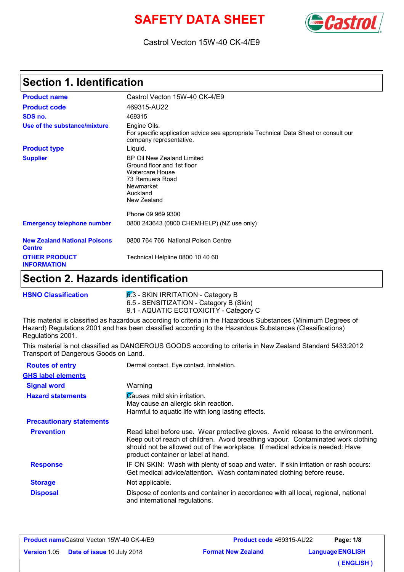# **SAFETY DATA SHEET**



### Castrol Vecton 15W-40 CK-4/E9

## **Section 1. Identification**

| <b>Product name</b>                                  | Castrol Vecton 15W-40 CK-4/E9                                                                                                                 |
|------------------------------------------------------|-----------------------------------------------------------------------------------------------------------------------------------------------|
| <b>Product code</b>                                  | 469315-AU22                                                                                                                                   |
| SDS no.                                              | 469315                                                                                                                                        |
| Use of the substance/mixture                         | Engine Oils.<br>For specific application advice see appropriate Technical Data Sheet or consult our<br>company representative.                |
| <b>Product type</b>                                  | Liquid.                                                                                                                                       |
| <b>Supplier</b>                                      | BP Oil New Zealand Limited<br>Ground floor and 1st floor<br>Watercare House<br>73 Remuera Road<br><b>Newmarket</b><br>Auckland<br>New Zealand |
|                                                      | Phone 09 969 9300                                                                                                                             |
| <b>Emergency telephone number</b>                    | 0800 243643 (0800 CHEMHELP) (NZ use only)                                                                                                     |
| <b>New Zealand National Poisons</b><br><b>Centre</b> | 0800 764 766 National Poison Centre                                                                                                           |
| <b>OTHER PRODUCT</b><br><b>INFORMATION</b>           | Technical Helpline 0800 10 40 60                                                                                                              |

## **Section 2. Hazards identification**

| <b>HSNO Classification</b> | $6.3$ - SKIN IRRITATION - Category B                                                        |
|----------------------------|---------------------------------------------------------------------------------------------|
|                            | 6.5 - SENSITIZATION - Category B (Skin)                                                     |
|                            | 9.1 - AQUATIC ECOTOXICITY - Category C                                                      |
|                            | This metasial is elegativel as ho-sedeus assembles to estacio in the Ho-sedeus Cubatanese / |

This material is classified as hazardous according to criteria in the Hazardous Substances (Minimum Degrees of Hazard) Regulations 2001 and has been classified according to the Hazardous Substances (Classifications) Regulations 2001.

This material is not classified as DANGEROUS GOODS according to criteria in New Zealand Standard 5433:2012 Transport of Dangerous Goods on Land.

| <b>Routes of entry</b>          | Dermal contact. Eye contact. Inhalation.                                                                                                                                                                                                                                                      |
|---------------------------------|-----------------------------------------------------------------------------------------------------------------------------------------------------------------------------------------------------------------------------------------------------------------------------------------------|
| <b>GHS label elements</b>       |                                                                                                                                                                                                                                                                                               |
| <b>Signal word</b>              | Warning                                                                                                                                                                                                                                                                                       |
| <b>Hazard statements</b>        | Causes mild skin irritation.<br>May cause an allergic skin reaction.<br>Harmful to aquatic life with long lasting effects.                                                                                                                                                                    |
| <b>Precautionary statements</b> |                                                                                                                                                                                                                                                                                               |
| <b>Prevention</b>               | Read label before use. Wear protective gloves. Avoid release to the environment.<br>Keep out of reach of children. Avoid breathing vapour. Contaminated work clothing<br>should not be allowed out of the workplace. If medical advice is needed: Have<br>product container or label at hand. |
| <b>Response</b>                 | IF ON SKIN: Wash with plenty of soap and water. If skin irritation or rash occurs:<br>Get medical advice/attention. Wash contaminated clothing before reuse.                                                                                                                                  |
| <b>Storage</b>                  | Not applicable.                                                                                                                                                                                                                                                                               |
| <b>Disposal</b>                 | Dispose of contents and container in accordance with all local, regional, national<br>and international regulations.                                                                                                                                                                          |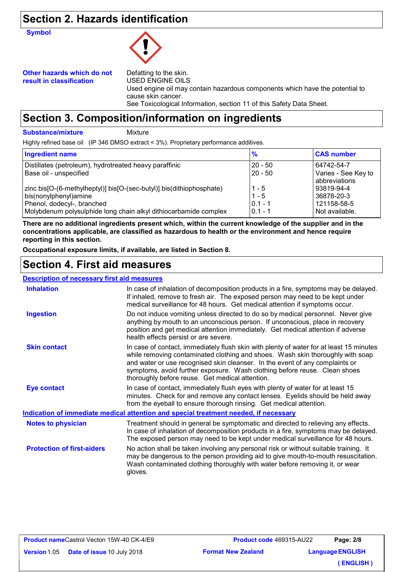## **Section 2. Hazards identification**

**Symbol**



#### **Other hazards which do not result in classification**

Defatting to the skin. USED ENGINE OILS Used engine oil may contain hazardous components which have the potential to cause skin cancer. See Toxicological Information, section 11 of this Safety Data Sheet.

## **Section 3. Composition/information on ingredients**

#### **Substance/mixture**

Mixture

Highly refined base oil (IP 346 DMSO extract < 3%). Proprietary performance additives.

| <b>Ingredient name</b>                                                                                                                                                                          | $\frac{9}{6}$                                | <b>CAS number</b>                                         |
|-------------------------------------------------------------------------------------------------------------------------------------------------------------------------------------------------|----------------------------------------------|-----------------------------------------------------------|
| Distillates (petroleum), hydrotreated heavy paraffinic<br>Base oil - unspecified                                                                                                                | $20 - 50$<br>$20 - 50$                       | 64742-54-7<br>Varies - See Key to<br>abbreviations        |
| zinc bis[O-(6-methylheptyl)] bis[O-(sec-butyl)] bis(dithiophosphate)<br>bis(nonylphenyl)amine<br>Phenol, dodecyl-, branched<br>Molybdenum polysulphide long chain alkyl dithiocarbamide complex | $1 - 5$<br>$1 - 5$<br>$0.1 - 1$<br>$0.1 - 1$ | 93819-94-4<br>36878-20-3<br>121158-58-5<br>Not available. |

**There are no additional ingredients present which, within the current knowledge of the supplier and in the concentrations applicable, are classified as hazardous to health or the environment and hence require reporting in this section.**

**Occupational exposure limits, if available, are listed in Section 8.**

# **Section 4. First aid measures**

#### **Description of necessary first aid measures**

| <b>Inhalation</b>                 | In case of inhalation of decomposition products in a fire, symptoms may be delayed.<br>If inhaled, remove to fresh air. The exposed person may need to be kept under<br>medical surveillance for 48 hours. Get medical attention if symptoms occur.                                                                                                                                       |
|-----------------------------------|-------------------------------------------------------------------------------------------------------------------------------------------------------------------------------------------------------------------------------------------------------------------------------------------------------------------------------------------------------------------------------------------|
| <b>Ingestion</b>                  | Do not induce vomiting unless directed to do so by medical personnel. Never give<br>anything by mouth to an unconscious person. If unconscious, place in recovery<br>position and get medical attention immediately. Get medical attention if adverse<br>health effects persist or are severe.                                                                                            |
| <b>Skin contact</b>               | In case of contact, immediately flush skin with plenty of water for at least 15 minutes<br>while removing contaminated clothing and shoes. Wash skin thoroughly with soap<br>and water or use recognised skin cleanser. In the event of any complaints or<br>symptoms, avoid further exposure. Wash clothing before reuse. Clean shoes<br>thoroughly before reuse. Get medical attention. |
| <b>Eye contact</b>                | In case of contact, immediately flush eyes with plenty of water for at least 15<br>minutes. Check for and remove any contact lenses. Eyelids should be held away<br>from the eyeball to ensure thorough rinsing. Get medical attention.                                                                                                                                                   |
|                                   | <u>Indication of immediate medical attention and special treatment needed, if necessary</u>                                                                                                                                                                                                                                                                                               |
| <b>Notes to physician</b>         | Treatment should in general be symptomatic and directed to relieving any effects.<br>In case of inhalation of decomposition products in a fire, symptoms may be delayed.<br>The exposed person may need to be kept under medical surveillance for 48 hours.                                                                                                                               |
| <b>Protection of first-aiders</b> | No action shall be taken involving any personal risk or without suitable training. It<br>may be dangerous to the person providing aid to give mouth-to-mouth resuscitation.<br>Wash contaminated clothing thoroughly with water before removing it, or wear<br>gloves.                                                                                                                    |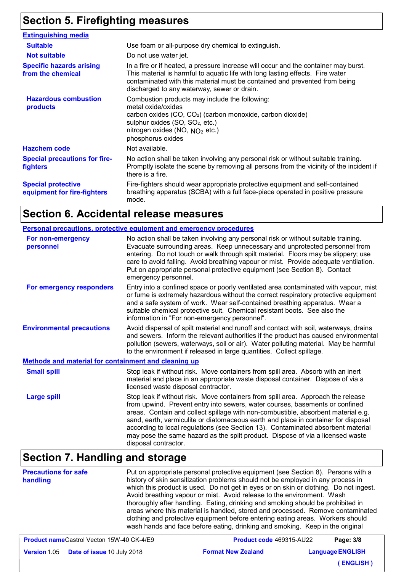# **Section 5. Firefighting measures**

| <b>Extinguishing media</b>                               |                                                                                                                                                                                                                                                                                                    |
|----------------------------------------------------------|----------------------------------------------------------------------------------------------------------------------------------------------------------------------------------------------------------------------------------------------------------------------------------------------------|
| <b>Suitable</b>                                          | Use foam or all-purpose dry chemical to extinguish.                                                                                                                                                                                                                                                |
| <b>Not suitable</b>                                      | Do not use water jet.                                                                                                                                                                                                                                                                              |
| <b>Specific hazards arising</b><br>from the chemical     | In a fire or if heated, a pressure increase will occur and the container may burst.<br>This material is harmful to aquatic life with long lasting effects. Fire water<br>contaminated with this material must be contained and prevented from being<br>discharged to any waterway, sewer or drain. |
| <b>Hazardous combustion</b><br>products                  | Combustion products may include the following:<br>metal oxide/oxides<br>carbon oxides (CO, CO <sub>2</sub> ) (carbon monoxide, carbon dioxide)<br>sulphur oxides (SO, SO <sub>2</sub> , etc.)<br>nitrogen oxides (NO, $NO2$ etc.)<br>phosphorus oxides                                             |
| <b>Hazchem code</b>                                      | Not available.                                                                                                                                                                                                                                                                                     |
| <b>Special precautions for fire-</b><br>fighters         | No action shall be taken involving any personal risk or without suitable training.<br>Promptly isolate the scene by removing all persons from the vicinity of the incident if<br>there is a fire.                                                                                                  |
| <b>Special protective</b><br>equipment for fire-fighters | Fire-fighters should wear appropriate protective equipment and self-contained<br>breathing apparatus (SCBA) with a full face-piece operated in positive pressure<br>mode.                                                                                                                          |

# **Section 6. Accidental release measures**

|                                                      | Personal precautions, protective equipment and emergency procedures                                                                                                                                                                                                                                                                                                                                                                                                                                                                       |
|------------------------------------------------------|-------------------------------------------------------------------------------------------------------------------------------------------------------------------------------------------------------------------------------------------------------------------------------------------------------------------------------------------------------------------------------------------------------------------------------------------------------------------------------------------------------------------------------------------|
| For non-emergency<br>personnel                       | No action shall be taken involving any personal risk or without suitable training.<br>Evacuate surrounding areas. Keep unnecessary and unprotected personnel from<br>entering. Do not touch or walk through spilt material. Floors may be slippery; use<br>care to avoid falling. Avoid breathing vapour or mist. Provide adequate ventilation.<br>Put on appropriate personal protective equipment (see Section 8). Contact<br>emergency personnel.                                                                                      |
| For emergency responders                             | Entry into a confined space or poorly ventilated area contaminated with vapour, mist<br>or fume is extremely hazardous without the correct respiratory protective equipment<br>and a safe system of work. Wear self-contained breathing apparatus. Wear a<br>suitable chemical protective suit. Chemical resistant boots. See also the<br>information in "For non-emergency personnel".                                                                                                                                                   |
| <b>Environmental precautions</b>                     | Avoid dispersal of spilt material and runoff and contact with soil, waterways, drains<br>and sewers. Inform the relevant authorities if the product has caused environmental<br>pollution (sewers, waterways, soil or air). Water polluting material. May be harmful<br>to the environment if released in large quantities. Collect spillage.                                                                                                                                                                                             |
| Methods and material for containment and cleaning up |                                                                                                                                                                                                                                                                                                                                                                                                                                                                                                                                           |
| <b>Small spill</b>                                   | Stop leak if without risk. Move containers from spill area. Absorb with an inert<br>material and place in an appropriate waste disposal container. Dispose of via a<br>licensed waste disposal contractor.                                                                                                                                                                                                                                                                                                                                |
| <b>Large spill</b>                                   | Stop leak if without risk. Move containers from spill area. Approach the release<br>from upwind. Prevent entry into sewers, water courses, basements or confined<br>areas. Contain and collect spillage with non-combustible, absorbent material e.g.<br>sand, earth, vermiculite or diatomaceous earth and place in container for disposal<br>according to local regulations (see Section 13). Contaminated absorbent material<br>may pose the same hazard as the spilt product. Dispose of via a licensed waste<br>disposal contractor. |

# **Section 7. Handling and storage**

| <b>Precautions for safe</b><br>handling | Put on appropriate personal protective equipment (see Section 8). Persons with a<br>history of skin sensitization problems should not be employed in any process in<br>which this product is used. Do not get in eyes or on skin or clothing. Do not ingest.<br>Avoid breathing vapour or mist. Avoid release to the environment. Wash<br>thoroughly after handling. Eating, drinking and smoking should be prohibited in<br>areas where this material is handled, stored and processed. Remove contaminated<br>clothing and protective equipment before entering eating areas. Workers should<br>wash hands and face before eating, drinking and smoking. Keep in the original |
|-----------------------------------------|---------------------------------------------------------------------------------------------------------------------------------------------------------------------------------------------------------------------------------------------------------------------------------------------------------------------------------------------------------------------------------------------------------------------------------------------------------------------------------------------------------------------------------------------------------------------------------------------------------------------------------------------------------------------------------|
|                                         |                                                                                                                                                                                                                                                                                                                                                                                                                                                                                                                                                                                                                                                                                 |

| <b>Product nameCastrol Vecton 15W-40 CK-4/E9</b> |                                         | <b>Product code 469315-AU22</b><br>Page: 3/8 |                         |
|--------------------------------------------------|-----------------------------------------|----------------------------------------------|-------------------------|
|                                                  | Version 1.05 Date of issue 10 July 2018 | <b>Format New Zealand</b>                    | <b>Language ENGLISH</b> |
|                                                  |                                         |                                              | (ENGLISH)               |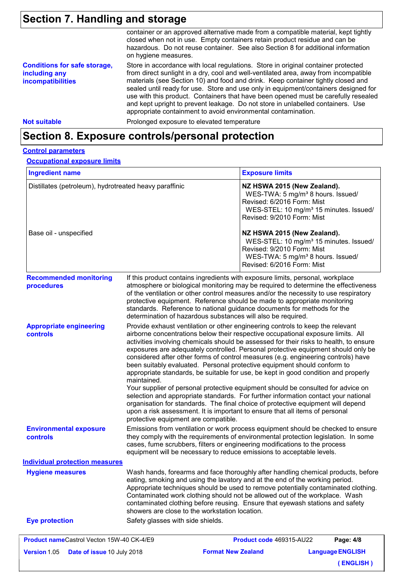# **Section 7. Handling and storage**

| <b>Not suitable</b>                                                              | Prolonged exposure to elevated temperature                                                                                                                                                                                                                                                                                                                                                                                                                                                                                                                                                     |
|----------------------------------------------------------------------------------|------------------------------------------------------------------------------------------------------------------------------------------------------------------------------------------------------------------------------------------------------------------------------------------------------------------------------------------------------------------------------------------------------------------------------------------------------------------------------------------------------------------------------------------------------------------------------------------------|
| <b>Conditions for safe storage,</b><br>including any<br><b>incompatibilities</b> | Store in accordance with local regulations. Store in original container protected<br>from direct sunlight in a dry, cool and well-ventilated area, away from incompatible<br>materials (see Section 10) and food and drink. Keep container tightly closed and<br>sealed until ready for use. Store and use only in equipment/containers designed for<br>use with this product. Containers that have been opened must be carefully resealed<br>and kept upright to prevent leakage. Do not store in unlabelled containers. Use<br>appropriate containment to avoid environmental contamination. |
|                                                                                  | container or an approved alternative made from a compatible material, kept tightly<br>closed when not in use. Empty containers retain product residue and can be<br>hazardous. Do not reuse container. See also Section 8 for additional information<br>on hygiene measures.                                                                                                                                                                                                                                                                                                                   |

## **Section 8. Exposure controls/personal protection**

#### **Control parameters**

#### **Occupational exposure limits**

| <b>Ingredient name</b>                                 |                                                                                                                                                                                                                                                                                                                                                                                                                                                                                                                                                                                                                                                                                                                                                                                                                                                                                                                                                                                                               | <b>Exposure limits</b>                                                                                                                                                                         |           |  |
|--------------------------------------------------------|---------------------------------------------------------------------------------------------------------------------------------------------------------------------------------------------------------------------------------------------------------------------------------------------------------------------------------------------------------------------------------------------------------------------------------------------------------------------------------------------------------------------------------------------------------------------------------------------------------------------------------------------------------------------------------------------------------------------------------------------------------------------------------------------------------------------------------------------------------------------------------------------------------------------------------------------------------------------------------------------------------------|------------------------------------------------------------------------------------------------------------------------------------------------------------------------------------------------|-----------|--|
| Distillates (petroleum), hydrotreated heavy paraffinic |                                                                                                                                                                                                                                                                                                                                                                                                                                                                                                                                                                                                                                                                                                                                                                                                                                                                                                                                                                                                               | NZ HSWA 2015 (New Zealand).<br>WES-TWA: 5 mg/m <sup>3</sup> 8 hours. Issued/<br>Revised: 6/2016 Form: Mist<br>WES-STEL: 10 mg/m <sup>3</sup> 15 minutes. Issued/<br>Revised: 9/2010 Form: Mist |           |  |
| Base oil - unspecified                                 |                                                                                                                                                                                                                                                                                                                                                                                                                                                                                                                                                                                                                                                                                                                                                                                                                                                                                                                                                                                                               | NZ HSWA 2015 (New Zealand).<br>WES-STEL: 10 mg/m <sup>3</sup> 15 minutes. Issued/<br>Revised: 9/2010 Form: Mist<br>WES-TWA: 5 mg/m <sup>3</sup> 8 hours. Issued/<br>Revised: 6/2016 Form: Mist |           |  |
| <b>Recommended monitoring</b><br>procedures            | If this product contains ingredients with exposure limits, personal, workplace<br>atmosphere or biological monitoring may be required to determine the effectiveness<br>of the ventilation or other control measures and/or the necessity to use respiratory<br>protective equipment. Reference should be made to appropriate monitoring<br>standards. Reference to national guidance documents for methods for the<br>determination of hazardous substances will also be required.                                                                                                                                                                                                                                                                                                                                                                                                                                                                                                                           |                                                                                                                                                                                                |           |  |
| <b>Appropriate engineering</b><br>controls             | Provide exhaust ventilation or other engineering controls to keep the relevant<br>airborne concentrations below their respective occupational exposure limits. All<br>activities involving chemicals should be assessed for their risks to health, to ensure<br>exposures are adequately controlled. Personal protective equipment should only be<br>considered after other forms of control measures (e.g. engineering controls) have<br>been suitably evaluated. Personal protective equipment should conform to<br>appropriate standards, be suitable for use, be kept in good condition and properly<br>maintained.<br>Your supplier of personal protective equipment should be consulted for advice on<br>selection and appropriate standards. For further information contact your national<br>organisation for standards. The final choice of protective equipment will depend<br>upon a risk assessment. It is important to ensure that all items of personal<br>protective equipment are compatible. |                                                                                                                                                                                                |           |  |
| <b>Environmental exposure</b><br>controls              | Emissions from ventilation or work process equipment should be checked to ensure<br>they comply with the requirements of environmental protection legislation. In some<br>cases, fume scrubbers, filters or engineering modifications to the process<br>equipment will be necessary to reduce emissions to acceptable levels.                                                                                                                                                                                                                                                                                                                                                                                                                                                                                                                                                                                                                                                                                 |                                                                                                                                                                                                |           |  |
| <b>Individual protection measures</b>                  |                                                                                                                                                                                                                                                                                                                                                                                                                                                                                                                                                                                                                                                                                                                                                                                                                                                                                                                                                                                                               |                                                                                                                                                                                                |           |  |
| <b>Hygiene measures</b>                                | Wash hands, forearms and face thoroughly after handling chemical products, before<br>eating, smoking and using the lavatory and at the end of the working period.<br>Appropriate techniques should be used to remove potentially contaminated clothing.<br>Contaminated work clothing should not be allowed out of the workplace. Wash<br>contaminated clothing before reusing. Ensure that eyewash stations and safety<br>showers are close to the workstation location.                                                                                                                                                                                                                                                                                                                                                                                                                                                                                                                                     |                                                                                                                                                                                                |           |  |
| <b>Eye protection</b>                                  | Safety glasses with side shields.                                                                                                                                                                                                                                                                                                                                                                                                                                                                                                                                                                                                                                                                                                                                                                                                                                                                                                                                                                             |                                                                                                                                                                                                |           |  |
| Product nameCastrol Vecton 15W-40 CK-4/E9              |                                                                                                                                                                                                                                                                                                                                                                                                                                                                                                                                                                                                                                                                                                                                                                                                                                                                                                                                                                                                               | Product code 469315-AU22                                                                                                                                                                       | Page: 4/8 |  |

**Language ENGLISH ( ENGLISH )**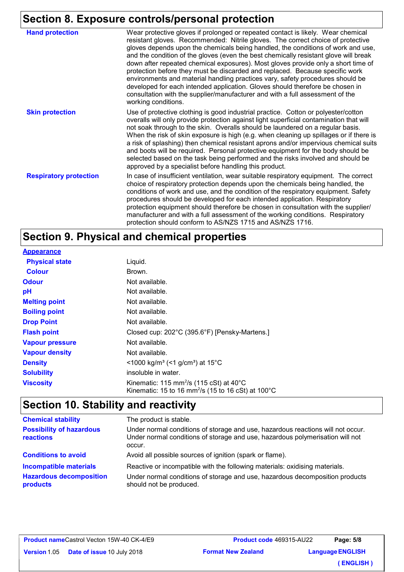# **Section 8. Exposure controls/personal protection**

| <b>Hand protection</b>        | Wear protective gloves if prolonged or repeated contact is likely. Wear chemical<br>resistant gloves. Recommended: Nitrile gloves. The correct choice of protective<br>gloves depends upon the chemicals being handled, the conditions of work and use,<br>and the condition of the gloves (even the best chemically resistant glove will break<br>down after repeated chemical exposures). Most gloves provide only a short time of<br>protection before they must be discarded and replaced. Because specific work<br>environments and material handling practices vary, safety procedures should be<br>developed for each intended application. Gloves should therefore be chosen in<br>consultation with the supplier/manufacturer and with a full assessment of the<br>working conditions. |
|-------------------------------|-------------------------------------------------------------------------------------------------------------------------------------------------------------------------------------------------------------------------------------------------------------------------------------------------------------------------------------------------------------------------------------------------------------------------------------------------------------------------------------------------------------------------------------------------------------------------------------------------------------------------------------------------------------------------------------------------------------------------------------------------------------------------------------------------|
| <b>Skin protection</b>        | Use of protective clothing is good industrial practice. Cotton or polyester/cotton<br>overalls will only provide protection against light superficial contamination that will<br>not soak through to the skin. Overalls should be laundered on a regular basis.<br>When the risk of skin exposure is high (e.g. when cleaning up spillages or if there is<br>a risk of splashing) then chemical resistant aprons and/or impervious chemical suits<br>and boots will be required. Personal protective equipment for the body should be<br>selected based on the task being performed and the risks involved and should be<br>approved by a specialist before handling this product.                                                                                                              |
| <b>Respiratory protection</b> | In case of insufficient ventilation, wear suitable respiratory equipment. The correct<br>choice of respiratory protection depends upon the chemicals being handled, the<br>conditions of work and use, and the condition of the respiratory equipment. Safety<br>procedures should be developed for each intended application. Respiratory<br>protection equipment should therefore be chosen in consultation with the supplier/<br>manufacturer and with a full assessment of the working conditions. Respiratory<br>protection should conform to AS/NZS 1715 and AS/NZS 1716.                                                                                                                                                                                                                 |

# **Section 9. Physical and chemical properties**

| <b>Appearance</b>      |                                                                                                                                            |
|------------------------|--------------------------------------------------------------------------------------------------------------------------------------------|
| <b>Physical state</b>  | Liquid.                                                                                                                                    |
| <b>Colour</b>          | Brown.                                                                                                                                     |
| <b>Odour</b>           | Not available.                                                                                                                             |
| рH                     | Not available.                                                                                                                             |
| <b>Melting point</b>   | Not available.                                                                                                                             |
| <b>Boiling point</b>   | Not available.                                                                                                                             |
| <b>Drop Point</b>      | Not available.                                                                                                                             |
| <b>Flash point</b>     | Closed cup: 202°C (395.6°F) [Pensky-Martens.]                                                                                              |
| <b>Vapour pressure</b> | Not available.                                                                                                                             |
| <b>Vapour density</b>  | Not available.                                                                                                                             |
| <b>Density</b>         | $\leq$ 1000 kg/m <sup>3</sup> (<1 g/cm <sup>3</sup> ) at 15 <sup>°</sup> C                                                                 |
| <b>Solubility</b>      | insoluble in water.                                                                                                                        |
| <b>Viscosity</b>       | Kinematic: 115 mm <sup>2</sup> /s (115 cSt) at $40^{\circ}$ C<br>Kinematic: 15 to 16 mm <sup>2</sup> /s (15 to 16 cSt) at 100 $^{\circ}$ C |

# **Section 10. Stability and reactivity**

| <b>Chemical stability</b>                    | The product is stable.                                                                                                                                                     |
|----------------------------------------------|----------------------------------------------------------------------------------------------------------------------------------------------------------------------------|
| <b>Possibility of hazardous</b><br>reactions | Under normal conditions of storage and use, hazardous reactions will not occur.<br>Under normal conditions of storage and use, hazardous polymerisation will not<br>occur. |
| <b>Conditions to avoid</b>                   | Avoid all possible sources of ignition (spark or flame).                                                                                                                   |
| <b>Incompatible materials</b>                | Reactive or incompatible with the following materials: oxidising materials.                                                                                                |
| <b>Hazardous decomposition</b><br>products   | Under normal conditions of storage and use, hazardous decomposition products<br>should not be produced.                                                                    |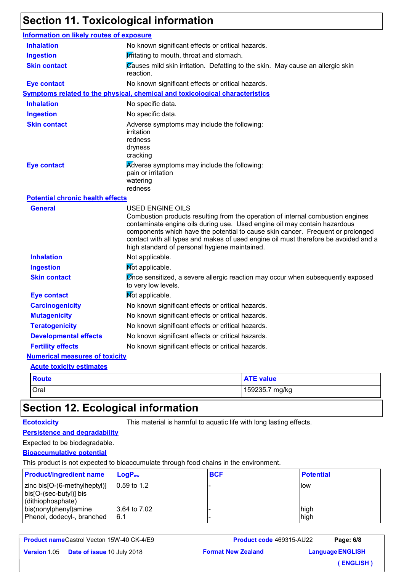# **Section 11. Toxicological information**

| <b>Information on likely routes of exposure</b> |                                                                                                                                                                                                                                                                                                                                                                                                                    |
|-------------------------------------------------|--------------------------------------------------------------------------------------------------------------------------------------------------------------------------------------------------------------------------------------------------------------------------------------------------------------------------------------------------------------------------------------------------------------------|
| <b>Inhalation</b>                               | No known significant effects or critical hazards.                                                                                                                                                                                                                                                                                                                                                                  |
| <b>Ingestion</b>                                | <b>Irritating to mouth, throat and stomach.</b>                                                                                                                                                                                                                                                                                                                                                                    |
| <b>Skin contact</b>                             | Causes mild skin irritation. Defatting to the skin. May cause an allergic skin<br>reaction.                                                                                                                                                                                                                                                                                                                        |
| <b>Eye contact</b>                              | No known significant effects or critical hazards.                                                                                                                                                                                                                                                                                                                                                                  |
|                                                 | Symptoms related to the physical, chemical and toxicological characteristics                                                                                                                                                                                                                                                                                                                                       |
| <b>Inhalation</b>                               | No specific data.                                                                                                                                                                                                                                                                                                                                                                                                  |
| <b>Ingestion</b>                                | No specific data.                                                                                                                                                                                                                                                                                                                                                                                                  |
| <b>Skin contact</b>                             | Adverse symptoms may include the following:<br>irritation<br>redness<br>dryness<br>cracking                                                                                                                                                                                                                                                                                                                        |
| <b>Eye contact</b>                              | Adverse symptoms may include the following:<br>pain or irritation<br>watering<br>redness                                                                                                                                                                                                                                                                                                                           |
| <b>Potential chronic health effects</b>         |                                                                                                                                                                                                                                                                                                                                                                                                                    |
| <b>General</b>                                  | <b>USED ENGINE OILS</b><br>Combustion products resulting from the operation of internal combustion engines<br>contaminate engine oils during use. Used engine oil may contain hazardous<br>components which have the potential to cause skin cancer. Frequent or prolonged<br>contact with all types and makes of used engine oil must therefore be avoided and a<br>high standard of personal hygiene maintained. |
| <b>Inhalation</b>                               | Not applicable.                                                                                                                                                                                                                                                                                                                                                                                                    |
| <b>Ingestion</b>                                | Not applicable.                                                                                                                                                                                                                                                                                                                                                                                                    |
| <b>Skin contact</b>                             | Ønce sensitized, a severe allergic reaction may occur when subsequently exposed<br>to very low levels.                                                                                                                                                                                                                                                                                                             |
| <b>Eye contact</b>                              | Not applicable.                                                                                                                                                                                                                                                                                                                                                                                                    |
| <b>Carcinogenicity</b>                          | No known significant effects or critical hazards.                                                                                                                                                                                                                                                                                                                                                                  |
| <b>Mutagenicity</b>                             | No known significant effects or critical hazards.                                                                                                                                                                                                                                                                                                                                                                  |
| <b>Teratogenicity</b>                           | No known significant effects or critical hazards.                                                                                                                                                                                                                                                                                                                                                                  |
| <b>Developmental effects</b>                    | No known significant effects or critical hazards.                                                                                                                                                                                                                                                                                                                                                                  |
| <b>Fertility effects</b>                        | No known significant effects or critical hazards.                                                                                                                                                                                                                                                                                                                                                                  |
| <b>Numerical measures of toxicity</b>           |                                                                                                                                                                                                                                                                                                                                                                                                                    |
| <b>Acute toxicity estimates</b>                 |                                                                                                                                                                                                                                                                                                                                                                                                                    |

| <b>Route</b> | <b>ATE value</b> |
|--------------|------------------|
| Oral         | 159235.7 mg/kg   |

# **Section 12. Ecological information**

**Ecotoxicity** This material is harmful to aquatic life with long lasting effects.

## **Persistence and degradability**

## Expected to be biodegradable.

## **Bioaccumulative potential**

This product is not expected to bioaccumulate through food chains in the environment.

| <b>Product/ingredient name</b>                                              | $\mathsf{LogP}_\mathsf{ow}$ | <b>BCF</b> | <b>Potential</b> |
|-----------------------------------------------------------------------------|-----------------------------|------------|------------------|
| zinc bis[O-(6-methylheptyl)]<br>bis[O-(sec-butyl)] bis<br>(dithiophosphate) | 10.59 to 1.2                |            | llow             |
| bis(nonylphenyl)amine<br>Phenol, dodecyl-, branched                         | 3.64 to 7.02<br>6.1         |            | high<br>high     |

**Product name** Castrol Vecton 15W-40 CK-4/E9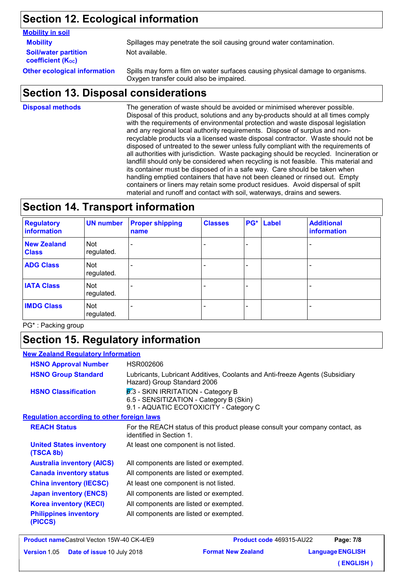# **Section 12. Ecological information**

#### **Mobility in soil**

**Soil/water partition coefficient (KOC)**

**Mobility** Spillages may penetrate the soil causing ground water contamination. Not available.

**Other ecological information** Spills may form a film on water surfaces causing physical damage to organisms. Oxygen transfer could also be impaired.

## **Section 13. Disposal considerations**

The generation of waste should be avoided or minimised wherever possible. Disposal of this product, solutions and any by-products should at all times comply with the requirements of environmental protection and waste disposal legislation and any regional local authority requirements. Dispose of surplus and nonrecyclable products via a licensed waste disposal contractor. Waste should not be disposed of untreated to the sewer unless fully compliant with the requirements of all authorities with jurisdiction. Waste packaging should be recycled. Incineration or landfill should only be considered when recycling is not feasible. This material and its container must be disposed of in a safe way. Care should be taken when handling emptied containers that have not been cleaned or rinsed out. Empty containers or liners may retain some product residues. Avoid dispersal of spilt material and runoff and contact with soil, waterways, drains and sewers. **Disposal methods**

# **Section 14. Transport information**

| <b>Regulatory</b><br><b>information</b> | <b>UN number</b>  | <b>Proper shipping</b><br>name | <b>Classes</b> | PG* | Label | <b>Additional</b><br>information |
|-----------------------------------------|-------------------|--------------------------------|----------------|-----|-------|----------------------------------|
| <b>New Zealand</b><br><b>Class</b>      | Not<br>regulated. |                                |                |     |       |                                  |
| <b>ADG Class</b>                        | Not<br>regulated. |                                |                |     |       |                                  |
| <b>IATA Class</b>                       | Not<br>regulated. |                                |                |     |       |                                  |
| <b>IMDG Class</b>                       | Not<br>regulated. |                                |                | -   |       |                                  |

PG\* : Packing group

# **Section 15. Regulatory information**

| <b>New Zealand Regulatory Information</b>         |                                                                                                                           |
|---------------------------------------------------|---------------------------------------------------------------------------------------------------------------------------|
| <b>HSNO Approval Number</b>                       | HSR002606                                                                                                                 |
| <b>HSNO Group Standard</b>                        | Lubricants, Lubricant Additives, Coolants and Anti-freeze Agents (Subsidiary<br>Hazard) Group Standard 2006               |
| <b>HSNO Classification</b>                        | $6.3$ - SKIN IRRITATION - Category B<br>6.5 - SENSITIZATION - Category B (Skin)<br>9.1 - AQUATIC ECOTOXICITY - Category C |
| <b>Regulation according to other foreign laws</b> |                                                                                                                           |
| <b>REACH Status</b>                               | For the REACH status of this product please consult your company contact, as<br>identified in Section 1.                  |
| <b>United States inventory</b><br>(TSCA 8b)       | At least one component is not listed.                                                                                     |
| <b>Australia inventory (AICS)</b>                 | All components are listed or exempted.                                                                                    |
| <b>Canada inventory status</b>                    | All components are listed or exempted.                                                                                    |
| <b>China inventory (IECSC)</b>                    | At least one component is not listed.                                                                                     |
| <b>Japan inventory (ENCS)</b>                     | All components are listed or exempted.                                                                                    |
| <b>Korea inventory (KECI)</b>                     | All components are listed or exempted.                                                                                    |
| <b>Philippines inventory</b><br>(PICCS)           | All components are listed or exempted.                                                                                    |

**Product name** Castrol Vecton 15W-40 CK-4/E9 **Version 1.05 Date of issue 10 July 2 Format New Zealand Product code** 469315-AU22 **Language ENGLISH Page: 7/8 ( ENGLISH )**